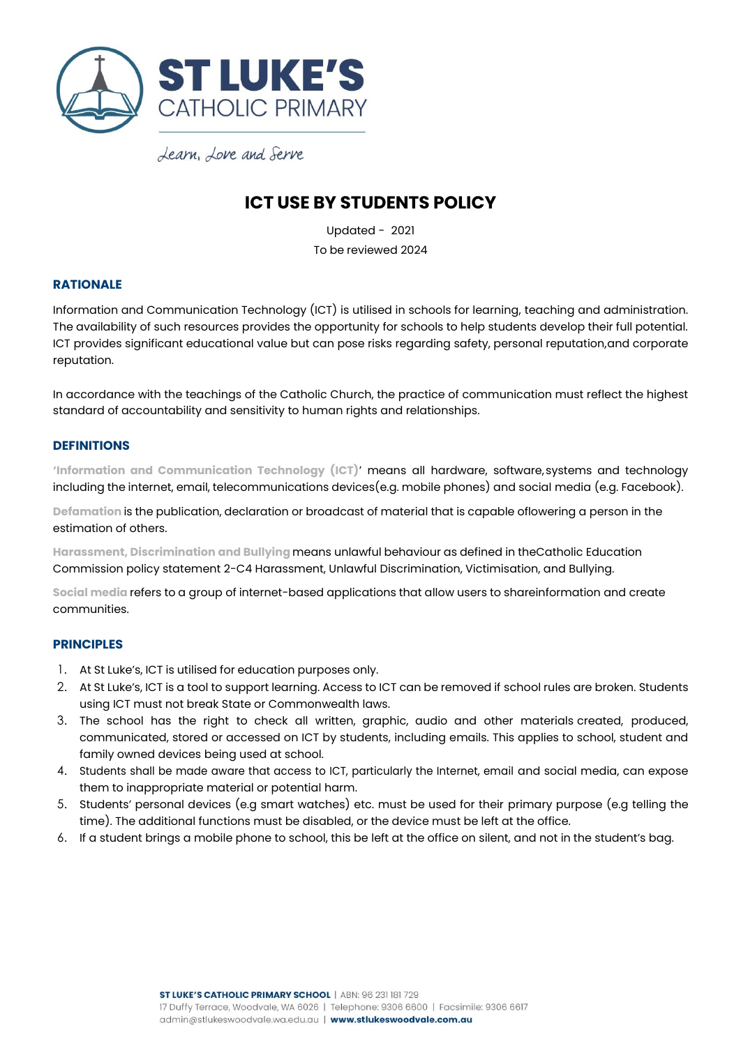

## **ICT USE BY STUDENTS POLICY**

Updated - 2021 To be reviewed 2024

### **RATIONALE**

Information and Communication Technology (ICT) is utilised in schools for learning, teaching and administration. The availability of such resources provides the opportunity for schools to help students develop their full potential. ICT provides significant educational value but can pose risks regarding safety, personal reputation,and corporate reputation.

In accordance with the teachings of the Catholic Church, the practice of communication must reflect the highest standard of accountability and sensitivity to human rights and relationships.

### **DEFINITIONS**

**'Information and Communication Technology (ICT)**' means all hardware, software, systems and technology including the internet, email, telecommunications devices(e.g. mobile phones) and social media (e.g. Facebook).

**Defamation** is the publication, declaration or broadcast of material that is capable oflowering a person in the estimation of others.

**Harassment, Discrimination and Bullying** means unlawful behaviour as defined in theCatholic Education Commission policy statement 2-C4 Harassment, Unlawful Discrimination, Victimisation, and Bullying.

**Social media** refers to a group of internet-based applications that allow users to shareinformation and create communities.

### **PRINCIPLES**

- 1. At St Luke's, ICT is utilised for education purposes only.
- 2. At St Luke's, ICT is a tool to support learning. Access to ICT can be removed if school rules are broken. Students using ICT must not break State or Commonwealth laws.
- 3. The school has the right to check all written, graphic, audio and other materials created, produced, communicated, stored or accessed on ICT by students, including emails. This applies to school, student and family owned devices being used at school.
- 4. Students shall be made aware that access to ICT, particularly the Internet, email and social media, can expose them to inappropriate material or potential harm.
- 5. Students' personal devices (e.g smart watches) etc. must be used for their primary purpose (e.g telling the time). The additional functions must be disabled, or the device must be left at the office.
- 6. If a student brings a mobile phone to school, this be left at the office on silent, and not in the student's bag.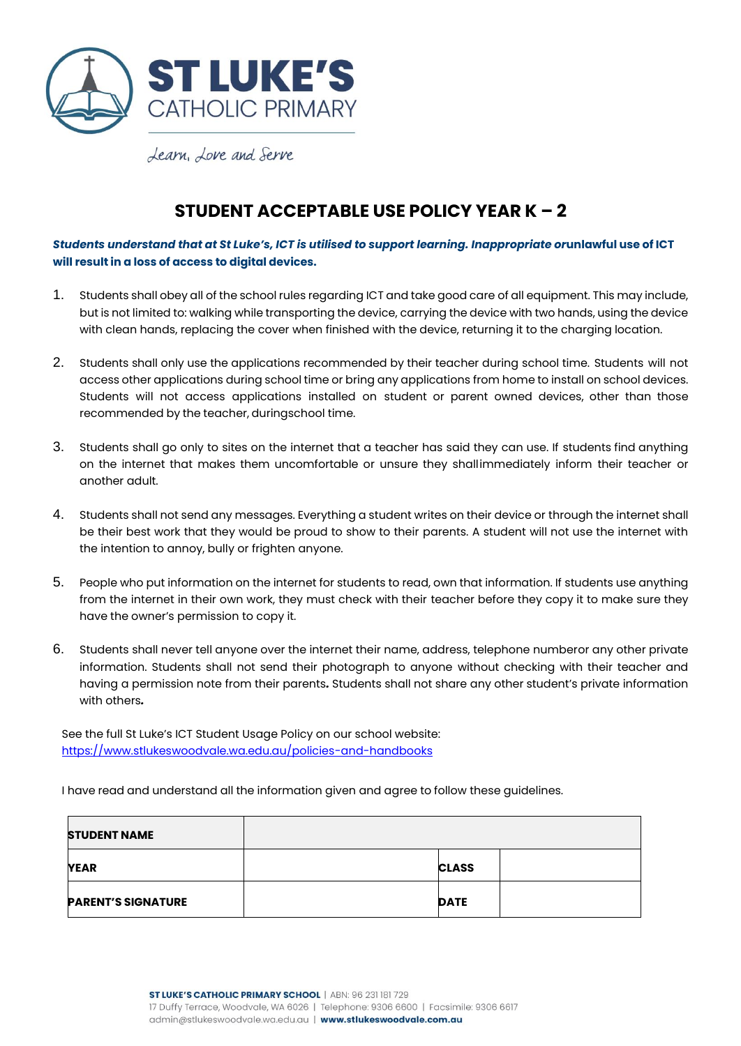

## **STUDENT ACCEPTABLE USE POLICY YEAR K – 2**

*Students understand that at St Luke's, ICT is utilised to support learning. Inappropriate or***unlawful use of ICT will result in a loss of access to digital devices.**

- 1. Students shall obey all of the school rules regarding ICT and take good care of all equipment. This may include, but is not limited to: walking while transporting the device, carrying the device with two hands, using the device with clean hands, replacing the cover when finished with the device, returning it to the charging location.
- 2. Students shall only use the applications recommended by their teacher during school time. Students will not access other applications during school time or bring any applications from home to install on school devices. Students will not access applications installed on student or parent owned devices, other than those recommended by the teacher, duringschool time.
- 3. Students shall go only to sites on the internet that a teacher has said they can use. If students find anything on the internet that makes them uncomfortable or unsure they shallimmediately inform their teacher or another adult.
- 4. Students shall not send any messages. Everything a student writes on their device or through the internet shall be their best work that they would be proud to show to their parents. A student will not use the internet with the intention to annoy, bully or frighten anyone.
- 5. People who put information on the internet for students to read, own that information. If students use anything from the internet in their own work, they must check with their teacher before they copy it to make sure they have the owner's permission to copy it.
- 6. Students shall never tell anyone over the internet their name, address, telephone numberor any other private information. Students shall not send their photograph to anyone without checking with their teacher and having a permission note from their parents*.* Students shall not share any other student's private information with others*.*

See the full St Luke's ICT Student Usage Policy on our school website: <https://www.stlukeswoodvale.wa.edu.au/policies-and-handbooks>

I have read and understand all the information given and agree to follow these guidelines.

| <b>STUDENT NAME</b>       |              |
|---------------------------|--------------|
| <b>YEAR</b>               | <b>CLASS</b> |
| <b>PARENT'S SIGNATURE</b> | <b>DATE</b>  |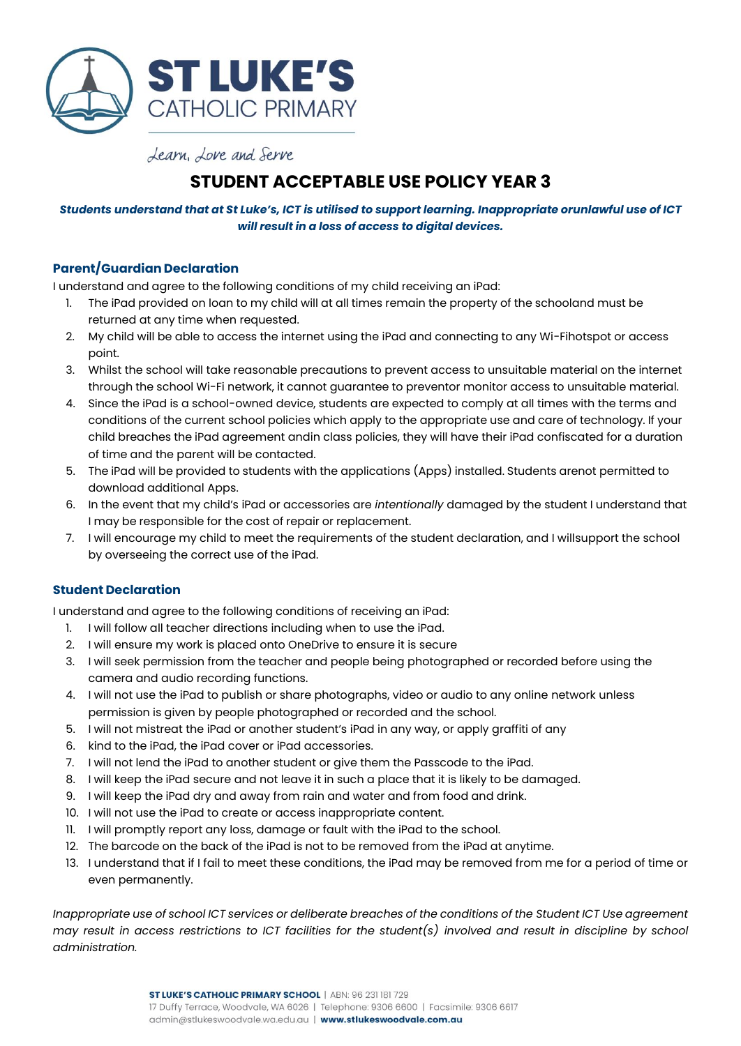

# **STUDENT ACCEPTABLE USE POLICY YEAR 3**

## *Students understand that at St Luke's, ICT is utilised to support learning. Inappropriate orunlawful use of ICT will result in a loss of access to digital devices.*

## **Parent/Guardian Declaration**

I understand and agree to the following conditions of my child receiving an iPad:

- 1. The iPad provided on loan to my child will at all times remain the property of the schooland must be returned at any time when requested.
- 2. My child will be able to access the internet using the iPad and connecting to any Wi-Fihotspot or access point.
- 3. Whilst the school will take reasonable precautions to prevent access to unsuitable material on the internet through the school Wi-Fi network, it cannot guarantee to preventor monitor access to unsuitable material.
- 4. Since the iPad is a school-owned device, students are expected to comply at all times with the terms and conditions of the current school policies which apply to the appropriate use and care of technology. If your child breaches the iPad agreement andin class policies, they will have their iPad confiscated for a duration of time and the parent will be contacted.
- 5. The iPad will be provided to students with the applications (Apps) installed. Students arenot permitted to download additional Apps.
- 6. In the event that my child's iPad or accessories are *intentionally* damaged by the student I understand that I may be responsible for the cost of repair or replacement.
- 7. I will encourage my child to meet the requirements of the student declaration, and I willsupport the school by overseeing the correct use of the iPad.

### **Student Declaration**

I understand and agree to the following conditions of receiving an iPad:

- 1. I will follow all teacher directions including when to use the iPad.
- 2. I will ensure my work is placed onto OneDrive to ensure it is secure
- 3. I will seek permission from the teacher and people being photographed or recorded before using the camera and audio recording functions.
- 4. I will not use the iPad to publish or share photographs, video or audio to any online network unless permission is given by people photographed or recorded and the school.
- 5. I will not mistreat the iPad or another student's iPad in any way, or apply graffiti of any
- 6. kind to the iPad, the iPad cover or iPad accessories.
- 7. I will not lend the iPad to another student or give them the Passcode to the iPad.
- 8. I will keep the iPad secure and not leave it in such a place that it is likely to be damaged.
- 9. I will keep the iPad dry and away from rain and water and from food and drink.
- 10. I will not use the iPad to create or access inappropriate content.
- 11. I will promptly report any loss, damage or fault with the iPad to the school.
- 12. The barcode on the back of the iPad is not to be removed from the iPad at anytime.
- 13. I understand that if I fail to meet these conditions, the iPad may be removed from me for a period of time or even permanently.

*Inappropriate use of school ICT services or deliberate breaches of the conditions of the Student ICT Use agreement may result in access restrictions to ICT facilities for the student(s) involved and result in discipline by school administration.*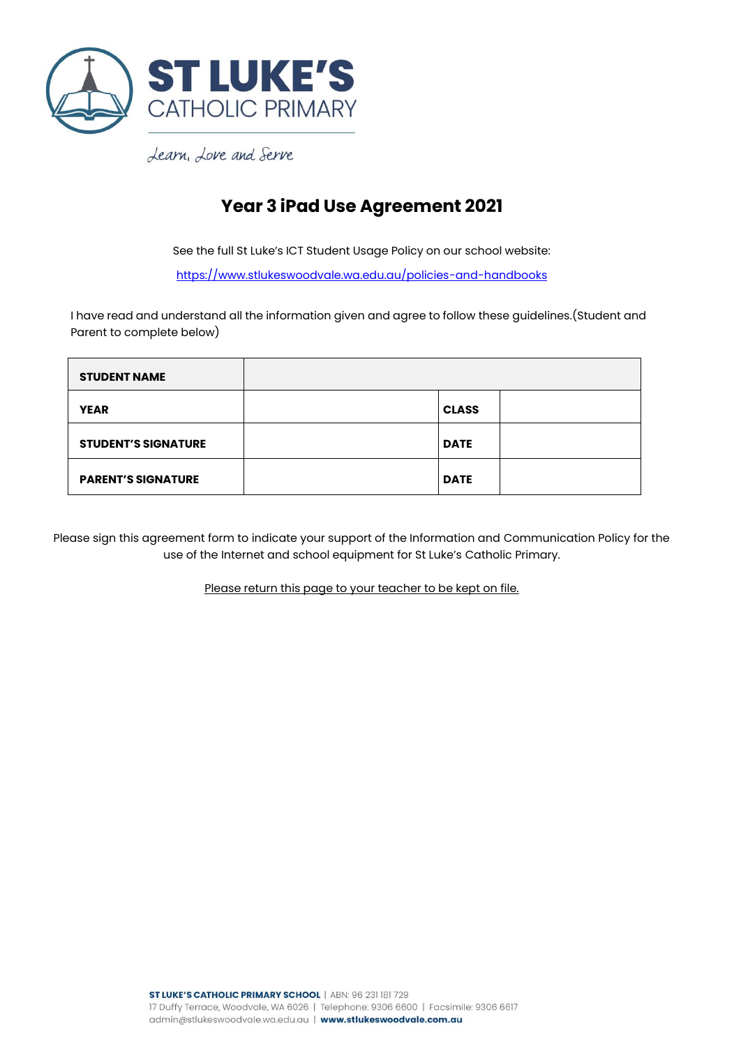

# **Year 3 iPad Use Agreement 2021**

See the full St Luke's ICT Student Usage Policy on our school website:

<https://www.stlukeswoodvale.wa.edu.au/policies-and-handbooks>

I have read and understand all the information given and agree to follow these guidelines.(Student and Parent to complete below)

| <b>STUDENT NAME</b>        |              |  |
|----------------------------|--------------|--|
| <b>YEAR</b>                | <b>CLASS</b> |  |
| <b>STUDENT'S SIGNATURE</b> | <b>DATE</b>  |  |
| <b>PARENT'S SIGNATURE</b>  | <b>DATE</b>  |  |

Please sign this agreement form to indicate your support of the Information and Communication Policy for the use of the Internet and school equipment for St Luke's Catholic Primary.

Please return this page to your teacher to be kept on file.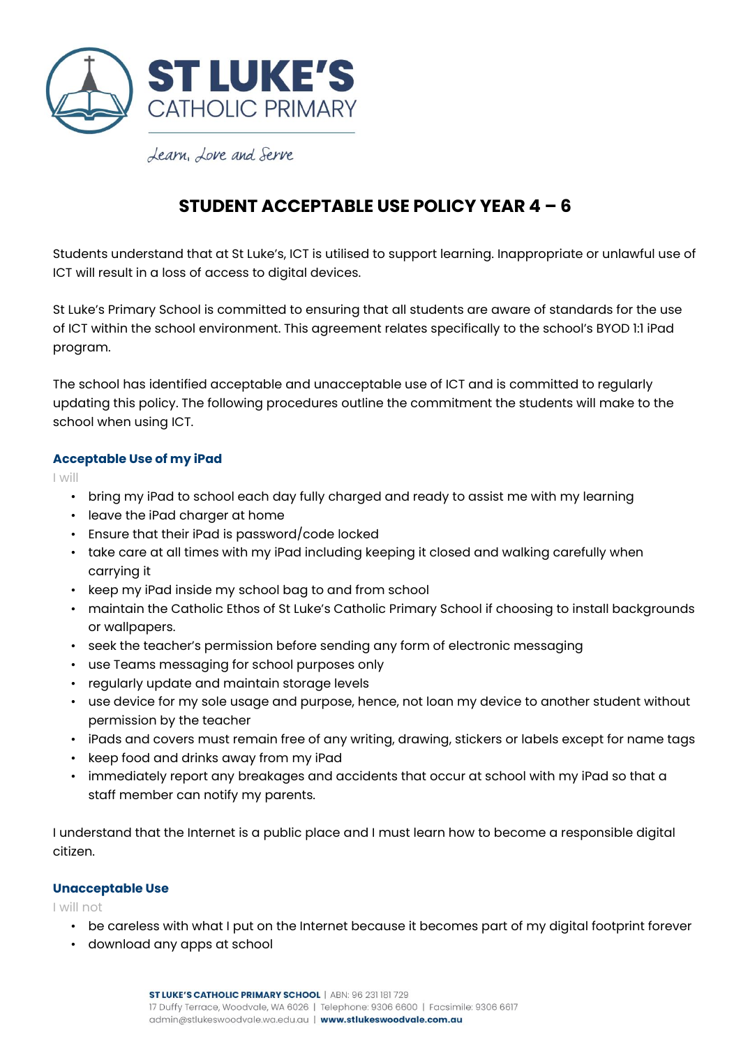

## **STUDENT ACCEPTABLE USE POLICY YEAR 4 – 6**

Students understand that at St Luke's, ICT is utilised to support learning. Inappropriate or unlawful use of ICT will result in a loss of access to digital devices.

St Luke's Primary School is committed to ensuring that all students are aware of standards for the use of ICT within the school environment. This agreement relates specifically to the school's BYOD 1:1 iPad program.

The school has identified acceptable and unacceptable use of ICT and is committed to regularly updating this policy. The following procedures outline the commitment the students will make to the school when using ICT.

## **Acceptable Use of my iPad**

I will

- bring my iPad to school each day fully charged and ready to assist me with my learning
- leave the iPad charger at home
- Ensure that their iPad is password/code locked
- take care at all times with my iPad including keeping it closed and walking carefully when carrying it
- keep my iPad inside my school bag to and from school
- maintain the Catholic Ethos of St Luke's Catholic Primary School if choosing to install backgrounds or wallpapers.
- seek the teacher's permission before sending any form of electronic messaging
- use Teams messaging for school purposes only
- regularly update and maintain storage levels
- use device for my sole usage and purpose, hence, not loan my device to another student without permission by the teacher
- iPads and covers must remain free of any writing, drawing, stickers or labels except for name tags
- keep food and drinks away from my iPad
- immediately report any breakages and accidents that occur at school with my iPad so that a staff member can notify my parents.

I understand that the Internet is a public place and I must learn how to become a responsible digital citizen.

### **Unacceptable Use**

I will not

- be careless with what I put on the Internet because it becomes part of my digital footprint forever
- download any apps at school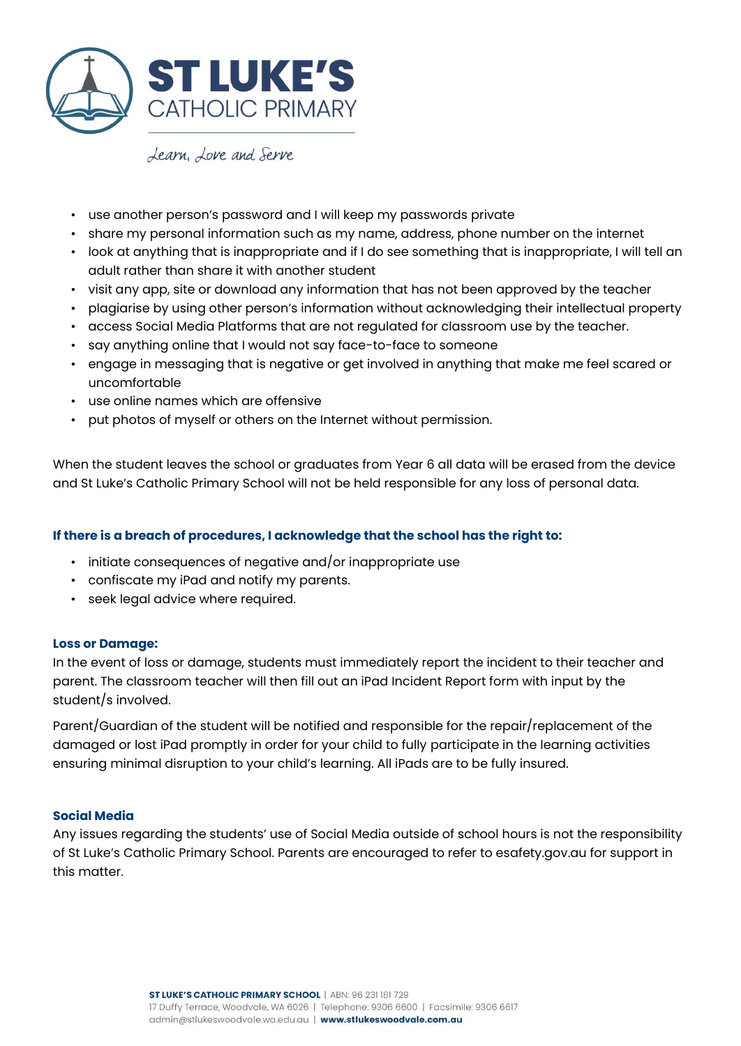

- use another person's password and I will keep my passwords private
- share my personal information such as my name, address, phone number on the internet
- look at anything that is inappropriate and if I do see something that is inappropriate, I will tell an adult rather than share it with another student
- visit any app, site or download any information that has not been approved by the teacher
- plagiarise by using other person's information without acknowledging their intellectual property
- access Social Media Platforms that are not regulated for classroom use by the teacher.
- say anything online that I would not say face-to-face to someone
- engage in messaging that is negative or get involved in anything that make me feel scared or uncomfortable
- use online names which are offensive
- put photos of myself or others on the Internet without permission.

When the student leaves the school or graduates from Year 6 all data will be erased from the device and St Luke's Catholic Primary School will not be held responsible for any loss of personal data.

## **If there is a breach of procedures, I acknowledge that the school has the right to:**

- initiate consequences of negative and/or inappropriate use
- confiscate my iPad and notify my parents.
- seek legal advice where required.

### **Loss or Damage:**

In the event of loss or damage, students must immediately report the incident to their teacher and parent. The classroom teacher will then fill out an iPad Incident Report form with input by the student/s involved.

Parent/Guardian of the student will be notified and responsible for the repair/replacement of the damaged or lost iPad promptly in order for your child to fully participate in the learning activities ensuring minimal disruption to your child's learning. All iPads are to be fully insured.

### **Social Media**

Any issues regarding the students' use of Social Media outside of school hours is not the responsibility of St Luke's Catholic Primary School. Parents are encouraged to refer to esafety.gov.au for support in this matter.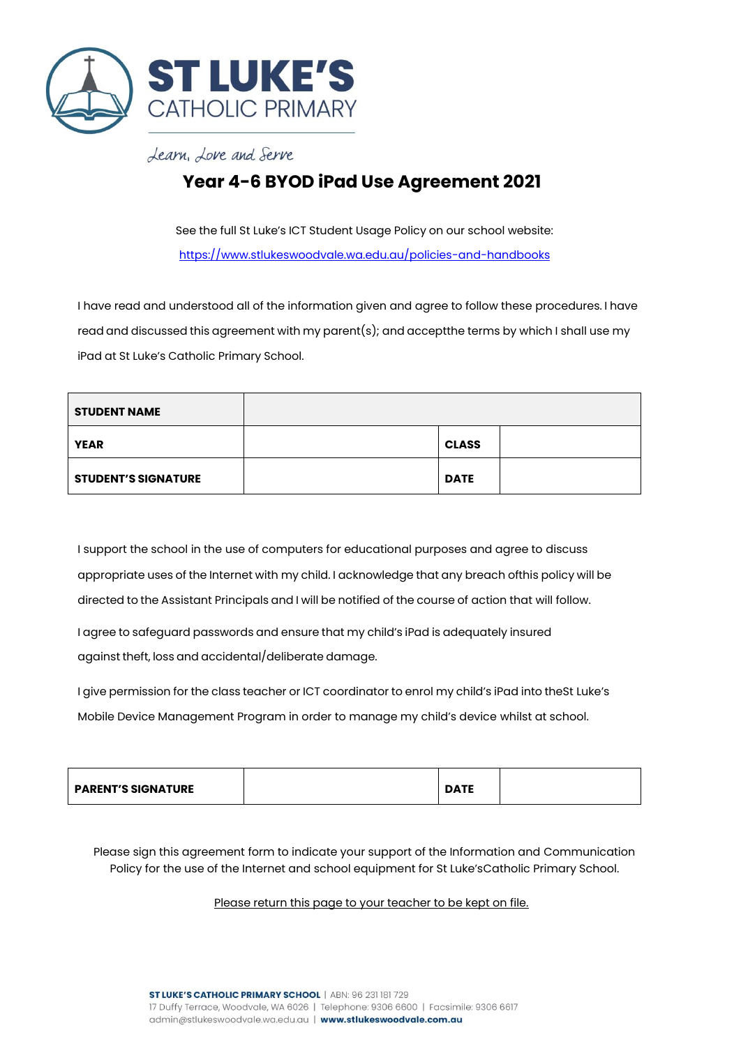

# **Year 4-6 BYOD iPad Use Agreement 2021**

See the full St Luke's ICT Student Usage Policy on our school website: <https://www.stlukeswoodvale.wa.edu.au/policies-and-handbooks>

I have read and understood all of the information given and agree to follow these procedures. I have read and discussed this agreement with my parent(s); and acceptthe terms by which I shall use my iPad at St Luke's Catholic Primary School.

| <b>STUDENT NAME</b>        |              |  |
|----------------------------|--------------|--|
| <b>YEAR</b>                | <b>CLASS</b> |  |
| <b>STUDENT'S SIGNATURE</b> | <b>DATE</b>  |  |

I support the school in the use of computers for educational purposes and agree to discuss appropriate uses of the Internet with my child. I acknowledge that any breach ofthis policy will be directed to the Assistant Principals and I will be notified of the course of action that will follow.

I agree to safeguard passwords and ensure that my child's iPad is adequately insured against theft, loss and accidental/deliberate damage.

I give permission for the class teacher or ICT coordinator to enrol my child's iPad into theSt Luke's Mobile Device Management Program in order to manage my child's device whilst at school.

| <b>PARENT'S SIGNATURE</b> |  | <b>ATE</b> |  |
|---------------------------|--|------------|--|
|---------------------------|--|------------|--|

Please sign this agreement form to indicate your support of the Information and Communication Policy for the use of the Internet and school equipment for St Luke'sCatholic Primary School.

### Please return this page to your teacher to be kept on file.